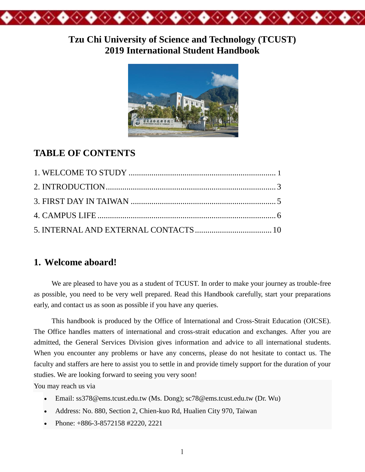

## **Tzu Chi University of Science and Technology (TCUST) 2019 International Student Handbook**



# **TABLE OF CONTENTS**

## **1. Welcome aboard!**

We are pleased to have you as a student of TCUST. In order to make your journey as trouble-free as possible, you need to be very well prepared. Read this Handbook carefully, start your preparations early, and contact us as soon as possible if you have any queries.

This handbook is produced by the Office of International and Cross-Strait Education (OICSE). The Office handles matters of international and cross-strait education and exchanges. After you are admitted, the General Services Division gives information and advice to all international students. When you encounter any problems or have any concerns, please do not hesitate to contact us. The faculty and staffers are here to assist you to settle in and provide timely support for the duration of your studies. We are looking forward to seeing you very soon!

You may reach us via

- Email: [ss378@ems.tcust.edu.tw](mailto:tcuoia@gms.tcu.edu.tw) (Ms. Dong); sc78@ems.tcust.edu.tw (Dr. Wu)
- Address: No. 880, Section 2, Chien-kuo Rd, Hualien City 970, Taiwan
- Phone: +886-3-8572158 #2220, 2221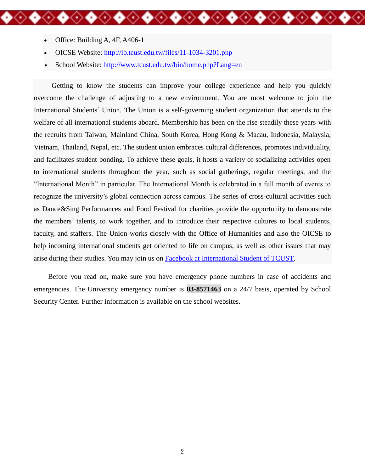- Office: Building A, 4F, A406-1
- OICSE Website: <http://ib.tcust.edu.tw/files/11-1034-3201.php>
- School Website: http://www.tcust.edu.tw/bin/home.php?Lang=en

Getting to know the students can improve your college experience and help you quickly overcome the challenge of adjusting to a new environment. You are most welcome to join the International Students' Union. The Union is a self-governing student organization that attends to the welfare of all international students aboard. Membership has been on the rise steadily these years with the recruits from Taiwan, Mainland China, South Korea, Hong Kong & Macau, Indonesia, Malaysia, Vietnam, Thailand, Nepal, etc. The student union embraces cultural differences, promotes individuality, and facilitates student bonding. To achieve these goals, it hosts a variety of socializing activities open to international students throughout the year, such as social gatherings, regular meetings, and the "International Month" in particular. The International Month is celebrated in a full month of events to recognize the university's global connection across campus. The series of cross-cultural activities such as Dance&Sing Performances and Food Festival for charities provide the opportunity to demonstrate the members' talents, to work together, and to introduce their respective cultures to local students, faculty, and staffers. The Union works closely with the Office of Humanities and also the OICSE to help incoming international students get oriented to life on campus, as well as other issues that may arise during their studies. You may join us on Facebook [at International Student of TCUST.](https://www.facebook.com/groups/1455052831382971/)

**◆◇◆◇◆◇◆◇◆◇◆◇◆◇◆◇◆◇◆◇◆◇◆** 

Before you read on, make sure you have emergency phone numbers in case of accidents and emergencies. The University emergency number is **03-8571463** on a 24/7 basis, operated by School Security Center. Further information is available on the school websites.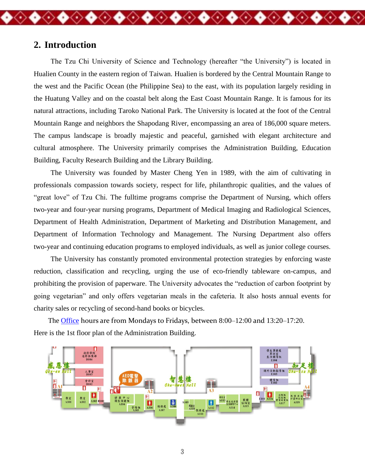## **2. Introduction**

The Tzu Chi University of Science and Technology (hereafter "the University") is located in Hualien County in the eastern region of Taiwan. Hualien is bordered by the Central Mountain Range to the west and the Pacific Ocean (the Philippine Sea) to the east, with its population largely residing in the Huatung Valley and on the coastal belt along the East Coast Mountain Range. It is famous for its natural attractions, including Taroko National Park. The University is located at the foot of the Central Mountain Range and neighbors the Shapodang River, encompassing an area of 186,000 square meters. The campus landscape is broadly majestic and peaceful, garnished with elegant architecture and cultural atmosphere. The University primarily comprises the Administration Building, Education Building, Faculty Research Building and the Library Building.

◆◇◆◇◆◇◆◇◆◇◆◇◆◇◆◇◆◇◆◇◆

The University was founded by Master Cheng Yen in 1989, with the aim of cultivating in professionals compassion towards society, respect for life, philanthropic qualities, and the values of "great love" of Tzu Chi. The fulltime programs comprise the Department of Nursing, which offers two-year and four-year nursing programs, Department of Medical Imaging and Radiological Sciences, Department of Health Administration, Department of Marketing and Distribution Management, and Department of Information Technology and Management. The Nursing Department also offers two-year and continuing education programs to employed individuals, as well as junior college courses.

The University has constantly promoted environmental protection strategies by enforcing waste reduction, classification and recycling, urging the use of eco-friendly tableware on-campus, and prohibiting the provision of paperware. The University advocates the "reduction of carbon footprint by going vegetarian" and only offers vegetarian meals in the cafeteria. It also hosts annual events for charity sales or recycling of second-hand books or bicycles.

The [Office](http://ga.tcust.edu.tw/files/11-1006-243-1.php) hours are from Mondays to Fridays, between 8:00–12:00 and 13:20–17:20. Here is the 1st floor plan of the Administration Building.

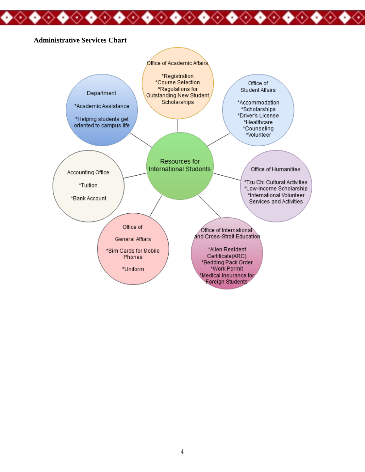#### **Administrative Services Chart**

◈◆



◈◆◈◆◈◆◈◆◈◆◈◆◈◆◈◆◈◆◈◆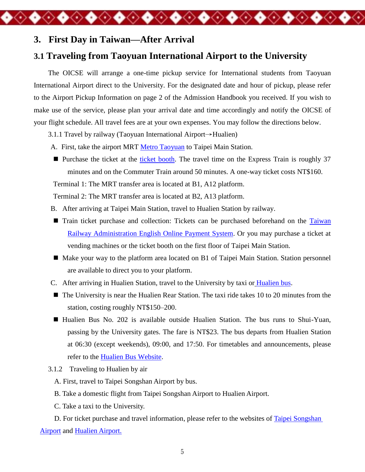### **3. First Day in Taiwan—After Arrival**

## **3.1 Traveling from Taoyuan International Airport to the University**

The OICSE will arrange a one-time pickup service for International students from Taoyuan International Airport direct to the University. For the designated date and hour of pickup, please refer to the Airport Pickup Information on page 2 of the Admission Handbook you received. If you wish to make use of the service, please plan your arrival date and time accordingly and notify the OICSE of your flight schedule. All travel fees are at your own expenses. You may follow the directions below.

◆◇◆◇◆◇◆◇◆◇◆◇◆◇◆◇◆◇◆◇◆◇◆

- 3.1.1 Travel by railway [\(Taoyuan International Airport](https://www.taoyuan-airport.com/english)→Hualien)
- A. First, take the airport MRT [Metro Taoyuan](https://www.tymetro.com.tw/tymetro-new/en/index.php) to Taipei Main Station.
- **Purchase the ticket at the [ticket booth.](https://www.tymetro.com.tw/tymetro-new/en/_pages/travel-guide/usage.html)** The travel time on the Express Train is roughly  $37$ minutes and on the Commuter Train around 50 minutes. A one-way ticket costs NT\$160.

Terminal 1: The MRT transfer area is located at B1, A12 platform.

Terminal 2: The MRT transfer area is located at B2, A13 platform.

- B. After arriving at Taipei Main Station, travel to Hualien Station by railway.
- **Train ticket purchase and collection: Tickets can be purchased beforehand on the Taiwan** [Railway Administration English Online](http://railway.hinet.net/Foreign/US/index.html) Payment System. Or you may purchase a ticket at vending machines or the ticket booth on the first floor of Taipei Main Station.
- Make your way to the platform area located on B1 of Taipei Main Station. Station personnel are available to direct you to your platform.
- C. After arriving in Hualien Station, travel to the University by taxi or [Hualien bus.](http://www.hualienbus.com.tw/bus/hualien_bus.php)
- The University is near the Hualien Rear Station. The taxi ride takes 10 to 20 minutes from the station, costing roughly NT\$150–200.
- Hualien Bus No. 202 is available outside Hualien Station. The bus runs to Shui-Yuan, passing by the University gates. The fare is NT\$23. The bus departs from Hualien Station at 06:30 (except weekends), 09:00, and 17:50. For timetables and announcements, please refer to the [Hualien Bus Website.](http://www.hualienbus.com.tw/bus/hualien_bus.php)
- 3.1.2 Traveling to Hualien by air
	- A. First, travel to Taipei Songshan Airport by bus.
	- B. Take a domestic flight from Taipei Songshan Airport to Hualien Airport.
	- C. Take a taxi to the University.

D. For ticket purchase and travel information, please refer to the websites of Taipei [Songshan](https://www.tsa.gov.tw/tsa/en/home.aspx) [Airport](https://www.tsa.gov.tw/tsa/en/home.aspx) and [Hualien Airport.](https://www.hulairport.gov.tw/e_content/about/about01.aspx)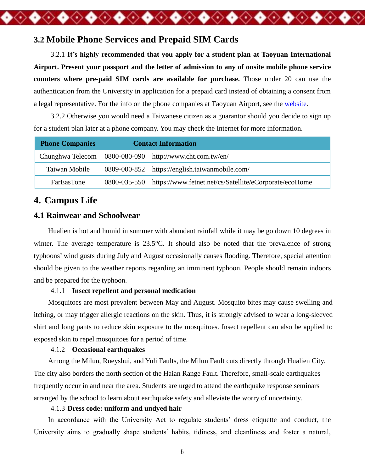## **3.2 Mobile Phone Services and Prepaid SIM Cards**

3.2.1 **It's highly recommended that you apply for a student plan at Taoyuan International Airport. Present your passport and the letter of admission to any of onsite mobile phone service counters where pre-paid SIM cards are available for purchase.** Those under 20 can use the authentication from the University in application for a prepaid card instead of obtaining a consent from a legal representative. For the info on the phone companies at Taoyuan Airport, see the [website.](https://www.taoyuan-airport.com/english/store3_1/1106)

**◆◇◆◇◆◇◆◇◆◇◆◇◆◇◆◇◆◇◆◇** 

3.2.2 Otherwise you would need a Taiwanese citizen as a guarantor should you decide to sign up for a student plan later at a phone company. You may check the Internet for more information.

| <b>Phone Companies</b> | <b>Contact Information</b> |                                                         |
|------------------------|----------------------------|---------------------------------------------------------|
|                        |                            | Chunghwa Telecom 0800-080-090 http://www.cht.com.tw/en/ |
| Taiwan Mobile          |                            | 0809-000-852 https://english.taiwanmobile.com/          |
| <b>FarEasTone</b>      | 0800-035-550               | https://www.fetnet.net/cs/Satellite/eCorporate/ecoHome  |

## **4. Campus Life**

### **4.1 Rainwear and Schoolwear**

Hualien is hot and humid in summer with abundant rainfall while it may be go down 10 degrees in winter. The average temperature is 23.5°C. It should also be noted that the prevalence of strong typhoons' wind gusts during July and August occasionally causes flooding. Therefore, special attention should be given to the weather reports regarding an imminent typhoon. People should remain indoors and be prepared for the typhoon.

#### 4.1.1 **Insect repellent and personal medication**

Mosquitoes are most prevalent between May and August. Mosquito bites may cause swelling and itching, or may trigger allergic reactions on the skin. Thus, it is strongly advised to wear a long-sleeved shirt and long pants to reduce skin exposure to the mosquitoes. Insect repellent can also be applied to exposed skin to repel mosquitoes for a period of time.

#### 4.1.2 **Occasional earthquakes**

Among the Milun, Rueyshui, and Yuli Faults, the Milun Fault cuts directly through Hualien City. The city also borders the north section of the Haian Range Fault. Therefore, small-scale earthquakes frequently occur in and near the area. Students are urged to attend the earthquake response seminars arranged by the school to learn about earthquake safety and alleviate the worry of uncertainty.

#### 4.1.3 **Dress code: uniform and undyed hair**

In accordance with the University Act to regulate students' dress etiquette and conduct, the University aims to gradually shape students' habits, tidiness, and cleanliness and foster a natural,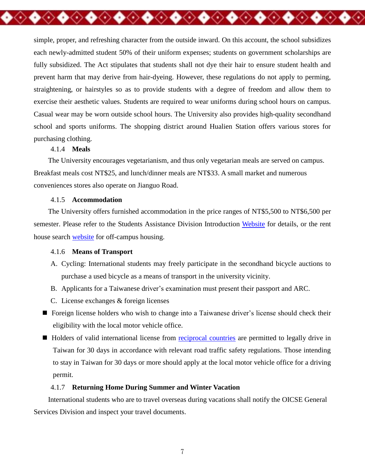simple, proper, and refreshing character from the outside inward. On this account, the school subsidizes each newly-admitted student 50% of their uniform expenses; students on government scholarships are fully subsidized. The Act stipulates that students shall not dye their hair to ensure student health and prevent harm that may derive from hair-dyeing. However, these regulations do not apply to perming, straightening, or hairstyles so as to provide students with a degree of freedom and allow them to exercise their aesthetic values. Students are required to wear uniforms during school hours on campus. Casual wear may be worn outside school hours. The University also provides high-quality secondhand school and sports uniforms. The shopping district around Hualien Station offers various stores for purchasing clothing.

◆◇◆◇◆◇◆◇◆◇◆◇◆◇◆

#### 4.1.4 **Meals**

The University encourages vegetarianism, and thus only vegetarian meals are served on campus. Breakfast meals cost NT\$25, and lunch/dinner meals are NT\$33. A small market and numerous conveniences stores also operate on Jianguo Road.

#### 4.1.5 **Accommodation**

The University offers furnished accommodation in the price ranges of NT\$5,500 to NT\$6,500 per semester. Please refer to the Students Assistance Division Introduction [Website](http://dad.tcust.edu.tw/files/11-1005-125-1.php) for details, or the rent house search [website](http://house.nfu.edu.tw/english/TCUST) for off-campus housing.

#### 4.1.6 **Means of Transport**

- A. Cycling: International students may freely participate in the secondhand bicycle auctions to purchase a used bicycle as a means of transport in the university vicinity.
- B. Applicants for a Taiwanese driver's examination must present their passport and ARC.
- C. License exchanges & foreign licenses
- Foreign license holders who wish to change into a Taiwanese driver's license should check their eligibility with the local motor vehicle office.
- Holders of valid international license from [reciprocal countries](https://www.thb.gov.tw/page?node=408d4b33-d248-46ed-8c2b-9066595af0f4) are permitted to legally drive in Taiwan for 30 days in accordance with relevant road traffic safety regulations. Those intending to stay in Taiwan for 30 days or more should apply at the local motor vehicle office for a driving permit.

#### 4.1.7 **Returning Home During Summer and Winter Vacation**

International students who are to travel overseas during vacations shall notify the OICSE General Services Division and inspect your travel documents.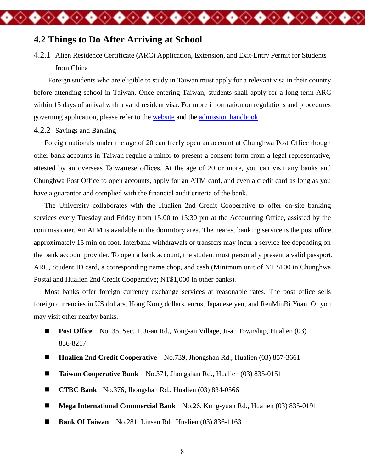### **4.2 Things to Do After Arriving at School**

4.2.1 Alien Residence Certificate (ARC) Application, Extension, and Exit-Entry Permit for Students from China

◈◆◈◆◈◆◈◆◈◆◈◆◈◆◈◆◈◆◈◆◈◆◈◆

Foreign students who are eligible to study in Taiwan must apply for a relevant visa in their country before attending school in Taiwan. Once entering Taiwan, students shall apply for a long-term ARC within 15 days of arrival with a valid resident visa. For more information on regulations and procedures governing application, please refer to the [website](http://ib.tcust.edu.tw/files/11-1034-3229-1.php) and the [admission handbook.](http://ib.tcust.edu.tw/ezfiles/34/1034/img/1373/972023325.pdf)

#### 4.2.2 Savings and Banking

Foreign nationals under the age of 20 can freely open an account at Chunghwa Post Office though other bank accounts in Taiwan require a minor to present a consent form from a legal representative, attested by an overseas Taiwanese offices. At the age of 20 or more, you can visit any banks and Chunghwa Post Office to open accounts, apply for an ATM card, and even a credit card as long as you have a guarantor and complied with the financial audit criteria of the bank.

The University collaborates with the Hualien 2nd Credit Cooperative to offer on-site banking services every Tuesday and Friday from 15:00 to 15:30 pm at the Accounting Office, assisted by the commissioner. An ATM is available in the dormitory area. The nearest banking service is the post office, approximately 15 min on foot. Interbank withdrawals or transfers may incur a service fee depending on the bank account provider. To open a bank account, the student must personally present a valid passport, ARC, Student ID card, a corresponding name chop, and cash (Minimum unit of NT \$100 in Chunghwa Postal and Hualien 2nd Credit Cooperative; NT\$1,000 in other banks).

Most banks offer foreign currency exchange services at reasonable rates. The post office sells foreign currencies in US dollars, Hong Kong dollars, euros, Japanese yen, and RenMinBi Yuan. Or you may visit other nearby banks.

- **[Post Office](https://www.post.gov.tw/post/internet/U_english/index.jsp?ID=24020901&page_type=3&prsb_no=009121-6)** No. 35, Sec. 1, Ji-an Rd., Yong-an Village, Ji-an Township, Hualien (03) 856-8217
- **[Hualien 2nd Credit Cooperative](http://www.hl2c.com.tw/)** No.739, Jhongshan Rd., Hualien (03) 857-3661
- **Taiwan Cooperative Bank** No.371, Jhongshan Rd., Hualien (03) 835-0151
- **CTBC Bank** No.376, Jhongshan Rd., Hualien (03) 834-0566
- **Mega International Commercial Bank** No.26, Kung-yuan Rd., Hualien (03) 835-0191
- **Bank Of Taiwan** No.281, Linsen Rd., Hualien (03) 836-1163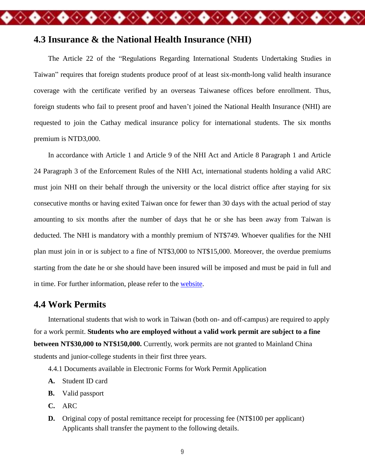## **4.3 Insurance & the National Health Insurance (NHI)**

The Article 22 of the "Regulations Regarding International Students Undertaking Studies in Taiwan" requires that foreign students produce proof of at least six-month-long valid health insurance coverage with the certificate verified by an overseas Taiwanese offices before enrollment. Thus, foreign students who fail to present proof and haven't joined the National Health Insurance (NHI) are requested to join the Cathay medical insurance policy for international students. The six months premium is NTD3,000.

◆◇◆◇◆◇◆◇◆◇◆◇◆◇◆◇◆◇◆◇◆◇◆

In accordance with Article 1 and Article 9 of the NHI Act and Article 8 Paragraph 1 and Article 24 Paragraph 3 of the Enforcement Rules of the NHI Act, international students holding a valid ARC must join NHI on their behalf through the university or the local district office after staying for six consecutive months or having exited Taiwan once for fewer than 30 days with the actual period of stay amounting to six months after the number of days that he or she has been away from Taiwan is deducted. The NHI is mandatory with a monthly premium of NT\$749. Whoever qualifies for the NHI plan must join in or is subject to a fine of NT\$3,000 to NT\$15,000. Moreover, the overdue premiums starting from the date he or she should have been insured will be imposed and must be paid in full and in time. For further information, please refer to the [website.](http://ib.tcust.edu.tw/ezfiles/34/1034/img/1373/464799476.pdf)

### **4.4 Work Permits**

International students that wish to work in Taiwan (both on- and off-campus) are required to apply for a work permit. **Students who are employed without a valid work permit are subject to a fine between NT\$30,000 to NT\$150,000.** Currently, work permits are not granted to Mainland China students and junior-college students in their first three years.

4.4.1 Documents available in Electronic Forms for Work Permit Application

- **A.** Student ID card
- **B.** Valid passport
- **C.** ARC
- **D.** Original copy of postal remittance receipt for processing fee (NT\$100 per applicant) Applicants shall transfer the payment to the following details.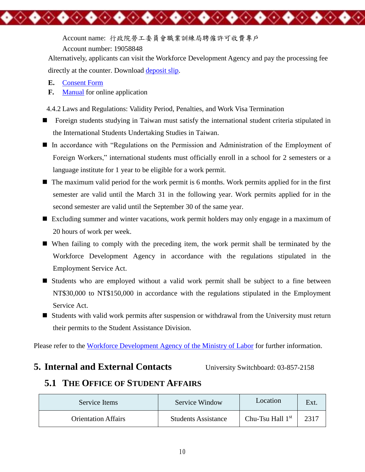Account name: 行政院勞工委員會職業訓練局聘僱許可收費專戶

Account number: 19058848

◆◇◆◇◆◇◆◇◆◇◆◇◆◇

Alternatively, applicants can visit the Workforce Development Agency and pay the processing fee directly at the counter. Download [deposit slip.](http://ib.tcust.edu.tw/ezfiles/34/1034/img/1373/489206029.jpg)

- **E.** [Consent Form](http://ib.tcust.edu.tw/ezfiles/34/1034/img/1373/100096977.pdf)
- **F.** [Manual](http://ib.tcust.edu.tw/ezfiles/34/1034/img/1373/186681779.pdf) for online application

4.4.2 Laws and Regulations: Validity Period, Penalties, and Work Visa Termination

- **Foreign students studying in Taiwan must satisfy the international student criteria stipulated in** the International Students Undertaking Studies in Taiwan.
- In accordance with "Regulations on the Permission and Administration of the Employment of Foreign Workers," international students must officially enroll in a school for 2 semesters or a language institute for 1 year to be eligible for a work permit.
- The maximum valid period for the work permit is 6 months. Work permits applied for in the first semester are valid until the March 31 in the following year. Work permits applied for in the second semester are valid until the September 30 of the same year.
- Excluding summer and winter vacations, work permit holders may only engage in a maximum of 20 hours of work per week.
- When failing to comply with the preceding item, the work permit shall be terminated by the Workforce Development Agency in accordance with the regulations stipulated in the Employment Service Act.
- Students who are employed without a valid work permit shall be subject to a fine between NT\$30,000 to NT\$150,000 in accordance with the regulations stipulated in the Employment Service Act.
- Students with valid work permits after suspension or withdrawal from the University must return their permits to the Student Assistance Division.

Please refer to the [Workforce Development Agency of the Ministry of Labor](https://ezworktaiwan.wda.gov.tw/en/) for further information.

## **5. Internal and External Contacts** University Switchboard: 03-857-2158

◆◇◆◇◆◇◆◇◆◇

# **5.1 THE OFFICE OF STUDENT AFFAIRS**

| Service Items              | Service Window             | Location                     |  |
|----------------------------|----------------------------|------------------------------|--|
| <b>Orientation Affairs</b> | <b>Students Assistance</b> | Chu-Tsu Hall 1 <sup>st</sup> |  |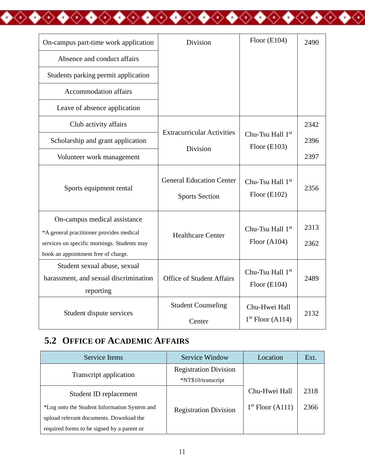| On-campus part-time work application                                                                                                                           | <b>Division</b>                                          | Floor $(E104)$                                 | 2490         |
|----------------------------------------------------------------------------------------------------------------------------------------------------------------|----------------------------------------------------------|------------------------------------------------|--------------|
| Absence and conduct affairs                                                                                                                                    |                                                          |                                                |              |
| Students parking permit application                                                                                                                            |                                                          |                                                |              |
| <b>Accommodation affairs</b>                                                                                                                                   |                                                          |                                                |              |
| Leave of absence application                                                                                                                                   |                                                          |                                                |              |
| Club activity affairs                                                                                                                                          |                                                          |                                                | 2342         |
| Scholarship and grant application                                                                                                                              | <b>Extracurricular Activities</b>                        | Chu-Tsu Hall 1st<br>Floor $(E103)$             | 2396         |
| Volunteer work management                                                                                                                                      | Division                                                 |                                                | 2397         |
| Sports equipment rental                                                                                                                                        | <b>General Education Center</b><br><b>Sports Section</b> | Chu-Tsu Hall 1 <sup>st</sup><br>Floor $(E102)$ | 2356         |
| On-campus medical assistance<br>*A general practitioner provides medical<br>services on specific mornings. Students may<br>book an appointment free of charge. | <b>Healthcare Center</b>                                 | Chu-Tsu Hall 1st<br>Floor $(A104)$             | 2313<br>2362 |
| Student sexual abuse, sexual<br>harassment, and sexual discrimination<br>reporting                                                                             | <b>Office of Student Affairs</b>                         | Chu-Tsu Hall 1st<br>Floor $(E104)$             | 2489         |
| Student dispute services                                                                                                                                       | <b>Student Counseling</b><br>Center                      | Chu-Hwei Hall<br>$1st$ Floor (A114)            | 2132         |

◆◇◆◇◆◇◆◇◆◇◆◇◆◇◆◇◆◇◆◇◆◇◆◇◆

# **5.2 OFFICE OF ACADEMIC AFFAIRS**

| Service Items                                                                           | Service Window                                     | Location           | Ext. |
|-----------------------------------------------------------------------------------------|----------------------------------------------------|--------------------|------|
| Transcript application                                                                  | <b>Registration Division</b><br>*NT\$10/transcript |                    |      |
| Student ID replacement                                                                  |                                                    | Chu-Hwei Hall      | 2318 |
| *Log onto the Student Information System and<br>upload relevant documents. Download the | <b>Registration Division</b>                       | $1st$ Floor (A111) | 2366 |
| required forms to be signed by a parent or                                              |                                                    |                    |      |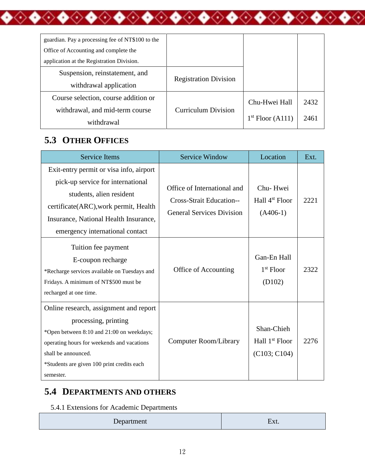| guardian. Pay a processing fee of NT\$100 to the |                              |                    |      |
|--------------------------------------------------|------------------------------|--------------------|------|
| Office of Accounting and complete the            |                              |                    |      |
| application at the Registration Division.        |                              |                    |      |
| Suspension, reinstatement, and                   |                              |                    |      |
| withdrawal application                           | <b>Registration Division</b> |                    |      |
| Course selection, course addition or             |                              | Chu-Hwei Hall      | 2432 |
| withdrawal, and mid-term course                  | <b>Curriculum Division</b>   |                    |      |
| withdrawal                                       |                              | $1st$ Floor (A111) | 2461 |

◆◇◆◇◆◇◆◇◆◇◆◇◆◇◆◇◆◇◆◇◆◇◆◇◆

## **5.3 OTHER OFFICES**

| <b>Service Items</b>                                                                                                                                                                                                                        | <b>Service Window</b>                                                                              | Location                                                 | Ext. |
|---------------------------------------------------------------------------------------------------------------------------------------------------------------------------------------------------------------------------------------------|----------------------------------------------------------------------------------------------------|----------------------------------------------------------|------|
| Exit-entry permit or visa info, airport<br>pick-up service for international<br>students, alien resident<br>certificate(ARC), work permit, Health<br>Insurance, National Health Insurance,<br>emergency international contact               | Office of International and<br><b>Cross-Strait Education--</b><br><b>General Services Division</b> | Chu-Hwei<br>Hall 4 <sup>st</sup> Floor<br>$(A406-1)$     | 2221 |
| Tuition fee payment<br>E-coupon recharge<br>*Recharge services available on Tuesdays and<br>Fridays. A minimum of NT\$500 must be<br>recharged at one time.                                                                                 | Office of Accounting                                                                               | Gan-En Hall<br>$1st$ Floor<br>(D102)                     | 2322 |
| Online research, assignment and report<br>processing, printing<br>*Open between 8:10 and 21:00 on weekdays;<br>operating hours for weekends and vacations<br>shall be announced.<br>*Students are given 100 print credits each<br>semester. | Computer Room/Library                                                                              | Shan-Chieh<br>Hall 1 <sup>st</sup> Floor<br>(C103; C104) | 2276 |

# **5.4 DEPARTMENTS AND OTHERS**

5.4.1 Extensions for Academic Departments

| Department<br>Ext |  |
|-------------------|--|
|-------------------|--|